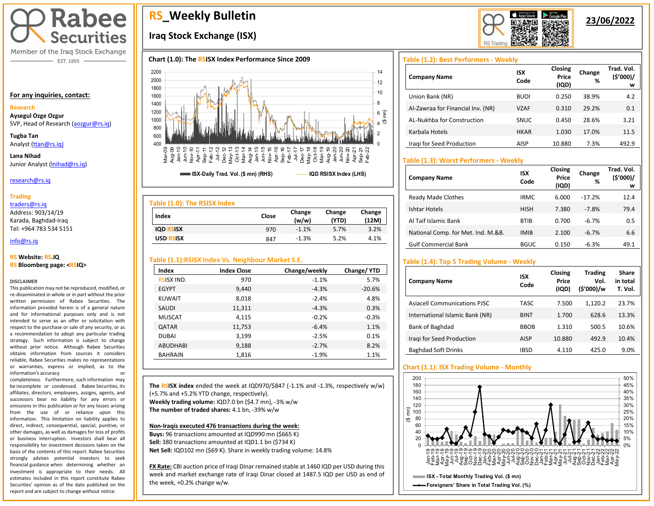

Member of the Iraq Stock Exchange - EST. 1995

#### **For any inquiries, contact:**

## **Research**

**Aysegul Ozge Ozgur**  SVP, Head of Research [\(aozgur@rs.iq\)](mailto:aozgur@rs.iq)

**Tugba Tan** Analyst [\(ttan@rs.iq\)](mailto:ttan@rs.iq)

**Lana Nihad** Junior Analyst (Inihad@rs.iq)

#### research@rs.iq

#### **Trading**

traders@rs.iq

Address: 903/14/19 Karada, Baghdad-Iraq Tel: +964 783 534 5151

#### info@rs.iq İ

#### **RS Website: RS.IQ RS Bloomberg page: <RSIQ>**

#### **DISCLAIMER**

This publication may not be reproduced, modified, or re-disseminated in whole or in part without the prior written permission of Rabee Securities. The information provided herein is of a general nature and for informational purposes only and is not intended to serve as an offer or solicitation with respect to the purchase or sale of any security, or as a recommendation to adopt any particular trading strategy. Such information is subject to change without prior notice. Although Rabee Securities obtains information from sources it considers reliable, Rabee Securities makes no representations or warranties, express or implied, as to the information's accuracy or

completeness. Furthermore, such information may be incomplete or condensed. Rabee Securities, its affiliates, directors, employees, assigns, agents, and successors bear no liability for any errors or omissions in this publication or for any losses arising from the use of or reliance upon this information. This limitation on liability applies to direct, indirect, consequential, special, punitive, or other damages, as well as damages for loss of profits or business interruption. Investors shall bear all responsibility for investment decisions taken on the basis of the contents of this report. Rabee Securities strongly advises potential investors to seek financial guidance when determining whether an investment is appropriate to their needs. All estimates included in this report constitute Rabee Securities' opinion as of the date published on the report and are subject to change without notice.

I

# **RS\_Weekly Bulletin**

# **Iraq Stock Exchange (ISX)**

## **Chart (1.0): The RSISX Index Performance Since 2009**



| Index            | Close | Change<br>(w/w) | Change<br>(YTD) | Change<br>(12M) |
|------------------|-------|-----------------|-----------------|-----------------|
| <b>IQD RSISX</b> | 970   | $-1.1%$         | 5.7%            | 3.2%            |
| <b>USD RSISX</b> | 847   | $-1.3%$         | 5.2%            | 4.1%            |

# **Table (1.1):RSISX Index Vs. Neighbour Market S.E.**

| Index             | <b>Index Close</b> | Change/weekly | Change/YTD |
|-------------------|--------------------|---------------|------------|
| <b>RSISX IND.</b> | 970                | $-1.1%$       | 5.7%       |
| <b>EGYPT</b>      | 9,440              | $-4.3%$       | $-20.6%$   |
| <b>KUWAIT</b>     | 8,018              | $-2.4%$       | 4.8%       |
| SAUDI             | 11,311             | $-4.3%$       | 0.3%       |
| <b>MUSCAT</b>     | 4,115              | $-0.2%$       | $-0.3%$    |
| <b>QATAR</b>      | 11,753             | $-6.4%$       | 1.1%       |
| <b>DUBAI</b>      | 3,199              | $-2.5%$       | 0.1%       |
| ABUDHABI          | 9,188              | $-2.7%$       | 8.2%       |
| <b>BAHRAIN</b>    | 1,816              | $-1.9%$       | 1.1%       |

**The RSISX index** ended the week at IQD970/\$847 (-1.1% and -1.3%, respectively w/w) (+5.7% and +5.2% YTD change, respectively). **Weekly trading volume:** IQD7.0 bn (\$4.7 mn), -3% w/w **The number of traded shares:** 4.1 bn, -39% w/w

#### **Non-Iraqis executed 476 transactions during the week:**

**Buys:** 96 transactions amounted at IQD990 mn (\$665 K) **Sell:** 380 transactions amounted at IQD1.1 bn (\$734 K) **Net Sell:** IQD102 mn (\$69 K). Share in weekly trading volume: 14.8%

**FX Rate:** CBI auction price of Iraqi Dinar remained stable at 1460 IQD per USD during this week and market exchange rate of Iraqi Dinar closed at 1487.5 IQD per USD as end of the week, +0.2% change w/w.

# **RS** Trading

# **23/06/2022**

# **Table (1.2): Best Performers - Weekly**

| <b>Company Name</b>               | <b>ISX</b><br>Code | Closing<br>Price<br>(IQD) | Change<br>% | Trad. Vol.<br>(5'000)/<br>w |
|-----------------------------------|--------------------|---------------------------|-------------|-----------------------------|
| Union Bank (NR)                   | <b>BUOI</b>        | 0.250                     | 38.9%       | 4.2                         |
| Al-Zawraa for Financial Inv. (NR) | VZAF               | 0.310                     | 29.2%       | 0.1                         |
| AL-Nukhba for Construction        | <b>SNUC</b>        | 0.450                     | 28.6%       | 3.21                        |
| Karbala Hotels                    | <b>HKAR</b>        | 1.030                     | 17.0%       | 11.5                        |
| Iragi for Seed Production         | AISP               | 10.880                    | 7.3%        | 492.9                       |

# **Table (1.3): Worst Performers - Weekly**

| <b>Company Name</b>                | <b>ISX</b><br>Code | Closing<br>Price<br>(IQD) | Change<br>% | Trad. Vol.<br>(5'000)/<br>w |
|------------------------------------|--------------------|---------------------------|-------------|-----------------------------|
| Ready Made Clothes                 | <b>IRMC</b>        | 6.000                     | $-17.2%$    | 12.4                        |
| Ishtar Hotels                      | <b>HISH</b>        | 7.380                     | $-7.8%$     | 79.4                        |
| Al Taif Islamic Bank               | <b>BTIB</b>        | 0.700                     | $-6.7%$     | 0.5                         |
| National Comp. for Met. Ind. M.&B. | <b>IMIB</b>        | 2.100                     | $-6.7%$     | 6.6                         |
| <b>Gulf Commercial Bank</b>        | <b>BGUC</b>        | 0.150                     | $-6.3%$     | 49.1                        |

# **Table (1.4): Top 5 Trading Volume - Weekly**

| <b>Company Name</b>             | <b>ISX</b><br>Code | Closing<br>Price<br>(IQD) | <b>Trading</b><br>Vol.<br>(\$'000)/w | <b>Share</b><br>in total<br>T. Vol. |
|---------------------------------|--------------------|---------------------------|--------------------------------------|-------------------------------------|
| Asiacell Communications PJSC    | <b>TASC</b>        | 7.500                     | 1,120.2                              | 23.7%                               |
| International Islamic Bank (NR) | <b>BINT</b>        | 1.700                     | 628.6                                | 13.3%                               |
| Bank of Baghdad                 | <b>BBOB</b>        | 1.310                     | 500.5                                | 10.6%                               |
| Iragi for Seed Production       | <b>AISP</b>        | 10.880                    | 492.9                                | 10.4%                               |
| <b>Baghdad Soft Drinks</b>      | IBSD               | 4.110                     | 425.0                                | 9.0%                                |

# **Chart (1.1): ISX Trading Volume - Monthly**

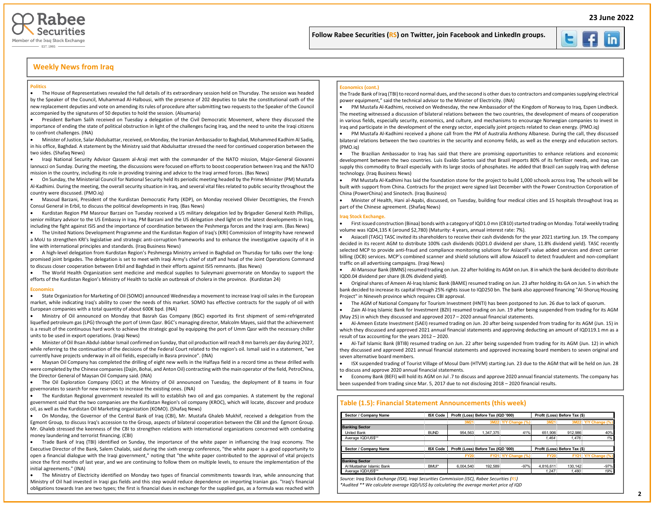



#### **Weekly News from Iraq**

#### **Politics**

• The House of Representatives revealed the full details of its extraordinary session held on Thursday. The session was headed by the Speaker of the Council, Muhammad Al-Halbousi, with the presence of 202 deputies to take the constitutional oath of the new replacement deputies and vote on amending its rules of procedure after submitting two requests to the Speaker of the Council accompanied by the signatures of 50 deputies to hold the session. (Alsumaria)

• President Barham Salih received on Tuesday a delegation of the Civil Democratic Movement, where they discussed the importance of ending the state of political obstruction in light of the challenges facing Iraq, and the need to unite the Iraqi citizens to confront challenges. (INA)

• Minister of Justice, Salar Abdulsattar, received, on Monday, the Iranian Ambassador to Baghdad, Mohammed Kadhim Al Sadiq, in his office, Baghdad. A statement by the Ministry said that Abdulsattar stressed the need for continued cooperation between the two sides. (Shafaq News)

• Iraqi National Security Advisor Qassem al-Araji met with the commander of the NATO mission, Major-General Giovanni Iannucci on Sunday. During the meeting, the discussions were focused on efforts to boost cooperation between Iraq and the NATO mission in the country, including its role in providing training and advice to the Iraqi armed forces. (Bas News)

• On Sunday, the Ministerial Council for National Security held its periodic meeting headed by the Prime Minister (PM) Mustafa Al-Kadhimi. During the meeting, the overall security situation in Iraq, and several vital files related to public security throughout the country were discussed. (PMO.iq)

• Masoud Barzani, President of the Kurdistan Democratic Party (KDP), on Monday received Olivier Decottignies, the French Consul General in Erbil, to discuss the political developments in Iraq. (Bas News)

• Kurdistan Region PM Masrour Barzani on Tuesday received a US military delegation led by Brigadier General Keith Phillips, senior military advisor to the US Embassy in Iraq. PM Barzani and the US delegation shed light on the latest developments in Iraq, including the fight against ISIS and the importance of coordination between the Peshmerga forces and the Iraqi arm. (Bas News)

• The United Nations Development Programme and the Kurdistan Region of Iraq's (KRI) Commission of Integrity have renewed a MoU to strengthen KRI's legislative and strategic anti-corruption frameworks and to enhance the investigative capacity of it in line with international principles and standards. (Iraq Business News)

• A high-level delegation from Kurdistan Region's Peshmerga Ministry arrived in Baghdad on Thursday for talks over the longpromised joint brigades. The delegation is set to meet with Iraqi Army's chief of staff and head of the Joint Operations Command to discuss closer cooperation between Erbil and Baghdad in their efforts against ISIS remnants. (Bas News)

• The World Health Organization sent medicine and medical supplies to Suleymani governorate on Monday to support the efforts of the Kurdistan Region's Ministry of Health to tackle an outbreak of cholera in the province. (Kurdistan 24)

#### **Economics**

• State Organization for Marketing of Oil (SOMO) announced Wednesday a movement to increase Iraqi oil sales in the European market, while indicating Iraq's ability to cover the needs of this market. SOMO has effective contracts for the supply of oil with European companies with a total quantity of about 600K bpd. (INA)

• Ministry of Oil announced on Monday that Basrah Gas Company (BGC) exported its first shipment of semi-refrigerated liquefied petroleum gas (LPG) through the port of Umm Qasr. BGC's managing director, Malcolm Mayes, said that the achievement is a result of the continuous hard work to achieve the strategic goal by equipping the port of Umm Qasr with the necessary chiller units to be used in export operations. (Iraqi News)

• Minister of Oil Ihsan Abdul-Jabbar Ismail confirmed on Sunday, that oil production will reach 8 mn barrels per day during 2027, while referring to the continuation of the decisions of the Federal Court related to the region's oil. Ismail said in a statement, "we currently have projects underway in all oil fields, especially in Basra province". (INA)

• Maysan Oil Company has completed the drilling of eight new wells in the Halfaya field in a record time as these drilled wells were completed by the Chinese companies (Dajin, Bohai, and Anton Oil) contracting with the main operator of the field, PetroChina, the Director General of Maysan Oil Company said. (INA)

• The Oil Exploration Company (OEC) at the Ministry of Oil announced on Tuesday, the deployment of 8 teams in four governorates to search for new reserves to increase the existing ones. (INA)

• The Kurdistan Regional government revealed its will to establish two oil and gas companies. A statement by the regional government said that the two companies are the Kurdistan Region's oil company (KROC), which will locate, discover and produce oil, as well as the Kurdistan Oil Marketing organization (KOMO). (Shafaq News)

• On Monday, the Governor of the Central Bank of Iraq (CBI), Mr. Mustafa Ghaleb Mukhif, received a delegation from the Egmont Group, to discuss Iraq's accession to the Group, aspects of bilateral cooperation between the CBI and the Egmont Group. Mr. Ghaleb stressed the keenness of the CBI to strengthen relations with international organizations concerned with combating money laundering and terrorist financing. (CBI)

• Trade Bank of Iraq (TBI) identified on Sunday, the importance of the white paper in influencing the Iraqi economy. The Executive Director of the Bank, Salem Chalabi, said during the sixth energy conference, "the white paper is a good opportunity to open a financial dialogue with the Iraqi government," noting that "the white paper contributed to the approval of vital projects since the first months of last year, and we are continuing to follow them on multiple levels, to ensure the implementation of the initial agreements." (INA)

• The Ministry of Electricity identified on Monday two types of financial commitments towards Iran, while announcing that Ministry of Oil had invested in Iraqi gas fields and this step would reduce dependence on importing Iranian gas. "Iraq's financial obligations towards Iran are two types; the first is financial dues in exchange for the supplied gas, as a formula was reached with

#### **Economics (cont.)**

the Trade Bank of Iraq (TBI) to record normal dues, and the second is other dues to contractors and companies supplying electrical power equipment," said the technical advisor to the Minister of Electricity. (INA)

İ

Į

• PM Mustafa Al-Kadhimi, received on Wednesday, the new Ambassador of the Kingdom of Norway to Iraq, Espen Lindbeck. The meeting witnessed a discussion of bilateral relations between the two countries, the development of means of cooperation in various fields, especially security, economics, and culture, and mechanisms to encourage Norwegian companies to invest in Iraq and participate in the development of the energy sector, especially joint projects related to clean energy. (PMO.iq)

• PM Mustafa Al-Kadhimi received a phone call from the PM of Australia Anthony Albanese. During the call, they discussed bilateral relations between the two countries in the security and economy fields, as well as the energy and education sectors. (PMO.iq)

• The Brazilian Ambassador to Iraq has said that there are promising opportunities to enhance relations and economic development between the two countries. Luis Evaldo Santos said that Brazil imports 80% of its fertilizer needs, and Iraq can supply this commodity to Brazil especially with its large stocks of phosphates. He added that Brazil can supply Iraq with defense technology. (Iraq Business News)

• PM Mustafa Al-Kadhimi has laid the foundation stone for the project to build 1,000 schools across Iraq. The schools will be built with support from China. Contracts for the project were signed last December with the Power Construction Corporation of China (PowerChina) and Sinotech. (Iraq Business)

• Minister of Health, Hani al-Aqabi, discussed, on Tuesday, building four medical cities and 15 hospitals throughout Iraq as part of the Chinese agreement. (Shafaq News)

#### **Iraq Stock Exchange.**

• First issued construction (Binaa) bonds with a category of IQD1.0 mn (CB10) started trading on Monday. Total weekly trading volume was IQD4,135 K (around \$2,780) (Maturity: 4 years, annual interest rate: 7%).

• Asiacell (TASC) TASC invited its shareholders to receive their cash dividends for the year 2021 starting Jun. 19. The company decided in its recent AGM to distribute 100% cash dividends (IQD1.0 dividend per share, 11.8% dividend yield). TASC recently selected MCP to provide anti-fraud and compliance monitoring solutions for Asiacell's value added services and direct carrier billing (DCB) services. MCP's combined scanner and shield solutions will allow Asiacell to detect fraudulent and non-compliant traffic on all advertising campaigns. (Iraqi News)

• Al-Mansour Bank (BMNS) resumed trading on Jun. 22 after holding its AGM on Jun. 8 in which the bank decided to distribute IQD0.04 dividend per share (8.0% dividend yield).

• Original shares of Ameen Al-Iraq Islamic Bank (BAME) resumed trading on Jun. 23 after holding its GA on Jun. 5 in which the bank decided to increase its capital through 25% rights issue to IQD250 bn. The bank also approved financing "Al-Shoruq Housing Project" in Nineveh province which requires CBI approval.

• The AGM of National Company for Tourism Investment (HNTI) has been postponed to Jun. 26 due to lack of quorum.

• Zain Al-Iraq Islamic Bank for Investment (BZII) resumed trading on Jun. 19 after being suspended from trading for its AGM (May 25) in which they discussed and approved 2017 – 2020 annual financial statements.

• Al-Ameen Estate Investment (SAEI) resumed trading on Jun. 20 after being suspended from trading for its AGM (Jun. 15) in which they discussed and approved 2021 annual financial statements and approving deducting an amount of IQD119.1 mn as a result of tax accounting for the years 2012 – 2020.

• Al-Taif Islamic Bank (BTIB) resumed trading on Jun. 22 after being suspended from trading for its AGM (Jun. 12) in which they discussed and approved 2021 annual financial statements and approved increasing board members to seven original and seven alternative board members.

• ISX suspended trading of Tourist Village of Mosul Dam (HTVM) starting Jun. 23 due to the AGM that will be held on Jun. 28 to discuss and approve 2020 annual financial statements.

• Economy Bank (BEFI) will hold its AGM on Jul .7 to discuss and approve 2020 annual financial statements. The company has been suspended from trading since Mar. 5, 2017 due to not disclosing 2018 – 2020 financial results.

#### **Table (1.5): Financial Statement Announcements (this week)**

| Sector / Company Name     | <b>ISX Code</b> |             | Profit (Loss) Before Tax (IQD '000) |                     | Profit (Loss) Before Tax (\$) |                               |                     |  |  |  |  |
|---------------------------|-----------------|-------------|-------------------------------------|---------------------|-------------------------------|-------------------------------|---------------------|--|--|--|--|
|                           |                 | 3M21        |                                     | 3M22 Y/Y Change (%) | 3M21                          |                               | 3M22 Y/Y Change (%) |  |  |  |  |
| <b>Banking Sector</b>     |                 |             |                                     |                     |                               |                               |                     |  |  |  |  |
| <b>United Bank</b>        | <b>BUND</b>     | 954.563     | 1.347.375                           | 41%                 | 651.906                       | 912.986                       | 40%                 |  |  |  |  |
| Average IQD/US\$**        |                 |             |                                     |                     | 1.464                         | 1.476                         | 1%                  |  |  |  |  |
| Sector / Company Name     | <b>ISX Code</b> |             | Profit (Loss) Before Tax (IQD '000) |                     |                               | Profit (Loss) Before Tax (\$) |                     |  |  |  |  |
|                           |                 | <b>FY20</b> |                                     | FY21 Y/Y Change (%) | <b>FY20</b>                   |                               | FY21 Y/Y Change (%) |  |  |  |  |
| <b>Banking Sector</b>     |                 |             |                                     |                     |                               |                               |                     |  |  |  |  |
| Al Mustashar Islamic Bank | BMUI*           | 6.004.540   | 192.589                             | $-97%$              | 4.816.611                     | 130.142                       | $-97%$              |  |  |  |  |
| Average IQD/US\$**        |                 |             |                                     |                     | 1.247                         | 1.480                         | 19%                 |  |  |  |  |

*Source: Iraq Stock Exchange (ISX), Iraqi Securities Commission (ISC), Rabee Securities (RS)*

*\*Audited \*\* We calculate average IQD/US\$ by calculating the average market price of IQD*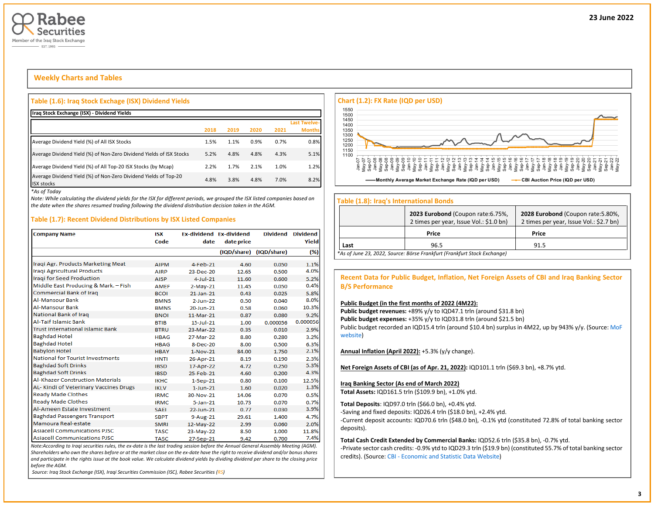

# **Weekly Charts and Tables**

#### **Table (1.6): Iraq Stock Exchage (ISX) Dividend Yields**

| Iraq Stock Exchange (ISX) - Dividend Yields                                           |      |      |      |      |                     |
|---------------------------------------------------------------------------------------|------|------|------|------|---------------------|
|                                                                                       |      |      |      |      | <b>Last Twelve-</b> |
|                                                                                       | 2018 | 2019 | 2020 | 2021 | <b>Months</b>       |
| Average Dividend Yield (%) of All ISX Stocks                                          | 1.5% | 1.1% | 0.9% | 0.7% | 0.8%                |
| Average Dividend Yield (%) of Non-Zero Dividend Yields of ISX Stocks                  | 5.2% | 4.8% | 4.8% | 4.3% | 5.1%                |
| Average Dividend Yield (%) of All Top-20 ISX Stocks (by Mcap)                         | 2.2% | 1.7% | 2.1% | 1.0% | 1.2%                |
| Average Dividend Yield (%) of Non-Zero Dividend Yields of Top-20<br><b>ISX stocks</b> | 4.8% | 3.8% | 4.8% | 7.0% | 8.2%                |

*\*As of Today*

*Note: While calculating the dividend yields for the ISX for different periods, we grouped the ISX listed companies based on the date when the shares resumed trading following the dividend distribution decision taken in the AGM.* 

#### **Table (1.7): Recent Dividend Distributions by ISX Listed Companies**

| <b>Company Name</b>                     | <b>ISX</b>  |                 | <b>Ex-dividend Ex-dividend</b> | <b>Dividend</b> | <b>Dividend</b> |
|-----------------------------------------|-------------|-----------------|--------------------------------|-----------------|-----------------|
|                                         | Code        | date            | date price                     |                 | Yield           |
|                                         |             |                 | (IQD/share)                    | (IQD/share)     | (%)             |
| Iraqi Agr. Products Marketing Meat      | <b>AIPM</b> | 4-Feb-21        | 4.60                           | 0.050           | 1.1%            |
| Iragi Agricultural Products             | <b>AIRP</b> | $23-Dec-20$     | 12.65                          | 0.500           | 4.0%            |
| <b>Iragi for Seed Production</b>        | <b>AISP</b> | $4$ -Jul-21     | 11.60                          | 0.600           | 5.2%            |
| Middle East Producing & Mark. - Fish    | <b>AMEF</b> | $2-May-21$      | 11.45                          | 0.050           | 0.4%            |
| <b>Commercial Bank of Irag</b>          | <b>BCOI</b> | $21$ -Jan- $21$ | 0.43                           | 0.025           | 5.8%            |
| <b>Al-Mansour Bank</b>                  | <b>BMNS</b> | $2-1$ un- $22$  | 0.50                           | 0.040           | 8.0%            |
| <b>Al-Mansour Bank</b>                  | <b>BMNS</b> | 20-Jun-21       | 0.58                           | 0.060           | 10.3%           |
| National Bank of Iraq                   | <b>BNOI</b> | 11-Mar-21       | 0.87                           | 0.080           | 9.2%            |
| <b>Al-Taif Islamic Bank</b>             | <b>BTIB</b> | $15$ -Jul- $21$ | 1.00                           | 0.000056        | 0.000056        |
| <b>Trust International Islamic Bank</b> | <b>BTRU</b> | 23-Mar-22       | 0.35                           | 0.010           | 2.9%            |
| <b>Baghdad Hotel</b>                    | <b>HBAG</b> | 27-Mar-22       | 8.80                           | 0.280           | 3.2%            |
| <b>Baghdad Hotel</b>                    | <b>HBAG</b> | 8-Dec-20        | 8.00                           | 0.500           | 6.3%            |
| <b>Babylon Hotel</b>                    | <b>HBAY</b> | 1-Nov-21        | 84.00                          | 1.750           | 2.1%            |
| <b>National for Tourist Investments</b> | <b>HNTI</b> | 26-Apr-21       | 8.19                           | 0.190           | 2.3%            |
| <b>Baghdad Soft Drinks</b>              | <b>IBSD</b> | 17-Apr-22       | 4.72                           | 0.250           | 5.3%            |
| <b>Baghdad Soft Drinks</b>              | <b>IBSD</b> | 25-Feb-21       | 4.60                           | 0.200           | 4.3%            |
| <b>Al-Khazer Construction Materials</b> | <b>IKHC</b> | $1-$ Sep $-21$  | 0.80                           | 0.100           | 12.5%           |
| AL-Kindi of Veterinary Vaccines Drugs   | <b>IKLV</b> | $1 - Jun-21$    | 1.60                           | 0.020           | 1.3%            |
| Ready Made Clothes                      | <b>IRMC</b> | 30-Nov-21       | 14.06                          | 0.070           | 0.5%            |
| <b>Ready Made Clothes</b>               | <b>IRMC</b> | $5 - Jan - 21$  | 10.73                          | 0.070           | 0.7%            |
| Al-Ameen Estate Investment              | <b>SAEI</b> | 22-Jun-21       | 0.77                           | 0.030           | 3.9%            |
| <b>Baghdad Passengers Transport</b>     | <b>SBPT</b> | 9-Aug-21        | 29.61                          | 1.400           | 4.7%            |
| Mamoura Real-estate                     | <b>SMRI</b> | 12-May-22       | 2.99                           | 0.060           | 2.0%            |
| <b>Asiacell Communications PJSC</b>     | <b>TASC</b> | 23-May-22       | 8.50                           | 1.000           | 11.8%           |
| <b>Asiacell Communications PJSC</b>     | <b>TASC</b> | 27-Sep-21       | 9.42                           | 0.700           | 7.4%            |

*Note:According to Iraqi securities rules, the ex-date is the last trading session before the Annual General Assembly Meeting (AGM). Shareholders who own the shares before or at the market close on the ex-date have the right to receive dividend and/or bonus shares and participate in the rights issue at the book value. We calculate dividend yields by dividing dividend per share to the closing price before the AGM.*

*Source: Iraq Stock Exchange (ISX), Iraqi Securities Commission (ISC), Rabee Securities (RS)*



#### **Table (1.8): Iraq's International Bonds**

|                                                                          | 2023 Eurobond (Coupon rate: 6.75%,<br>2 times per year, Issue Vol.: \$1.0 bn) | 2028 Eurobond (Coupon rate: 5.80%,<br>2 times per year, Issue Vol.: \$2.7 bn) |  |  |  |  |  |  |  |  |
|--------------------------------------------------------------------------|-------------------------------------------------------------------------------|-------------------------------------------------------------------------------|--|--|--|--|--|--|--|--|
|                                                                          | Price                                                                         | Price                                                                         |  |  |  |  |  |  |  |  |
| Last                                                                     | 96.5                                                                          | 91.5                                                                          |  |  |  |  |  |  |  |  |
| *As of June 23, 2022, Source: Börse Frankfurt (Frankfurt Stock Exchange) |                                                                               |                                                                               |  |  |  |  |  |  |  |  |

#### **Recent Data for Public Budget, Inflation, Net Foreign Assets of CBI and Iraq Banking Sector B/S Performance**

#### **Public Budget (in the first months of 2022 (4M22):**

Public budget revenues: +89% y/y to IQD47.1 trln (around \$31.8 bn) Public budget expenses: +35% y/y to IQD31.8 trln (around \$21.5 bn) Public budget recorded an IQD15.4 trln (around \$10.4 bn) surplus in 4M22, up by 943% y/y. (Source: MoF [website\)](http://mof.gov.iq/obs/ar/Pages/obsDocuments.aspx)

**Annual Inflation (April 2022):** +5.3% (y/y change).

**Net Foreign Assets of CBI (as of Apr. 21, 2022):** IQD101.1 trln (\$69.3 bn), +8.7% ytd.

#### **Iraq Banking Sector (As end of March 2022)**

**Total Assets:** IQD161.5 trln (\$109.9 bn), +1.0% ytd.

**Total Deposits**: IQD97.0 trln (\$66.0 bn), +0.4% ytd.

-Saving and fixed deposits: IQD26.4 trln (\$18.0 bn), +2.4% ytd.

-Current deposit accounts: IQD70.6 trln (\$48.0 bn), -0.1% ytd (constituted 72.8% of total banking sector deposits).

**Total Cash Credit Extended by Commercial Banks:** IQD52.6 trln (\$35.8 bn), -0.7% ytd.

-Private sector cash credits: -0.9% ytd to IQD29.3 trln (\$19.9 bn) (constituted 55.7% of total banking sector credits). (Source: CBI - [Economic and Statistic Data Website\)](https://cbiraq.org/)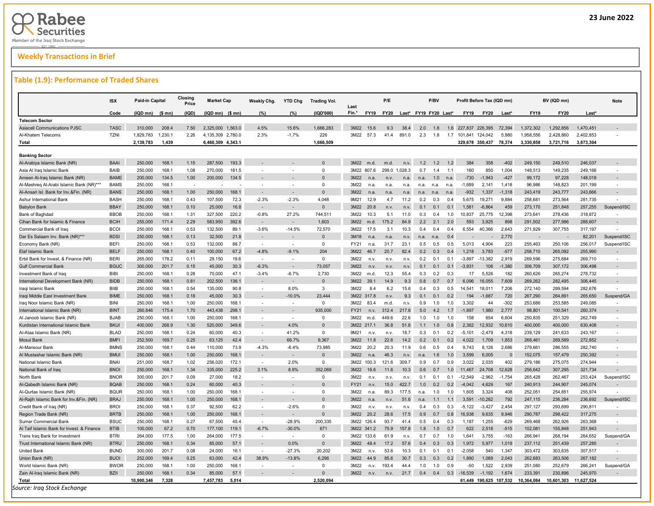# **Weekly Transactions in Brief**

#### **Table (1.9): Performance of Traded Shares**

|                                            | <b>ISX</b>  | Paid-in Capital |                  | Closing<br>Price | <b>Market Cap</b>   |       | Weekly Chg.              | <b>YTD Chg</b>           | Trading Vol. | Last                          | P/E         |         |                       | P/BV |                | Profit Before Tax (IQD mn) |          |             | BV (IQD mn) |            | <b>Note</b>              |
|--------------------------------------------|-------------|-----------------|------------------|------------------|---------------------|-------|--------------------------|--------------------------|--------------|-------------------------------|-------------|---------|-----------------------|------|----------------|----------------------------|----------|-------------|-------------|------------|--------------------------|
|                                            | Code        | (IQD mn)        | $(S \text{ mn})$ | (IQD)            | $(IQD$ mn) $(S$ mn) |       | (%)                      | (%)                      | (IQD'000)    | Fin.*<br><b>FY19</b>          | <b>FY20</b> |         | Last* FY19 FY20 Last* |      |                | <b>FY19</b><br><b>FY20</b> | Last*    | <b>FY19</b> | <b>FY20</b> | Last*      |                          |
| <b>Telecom Sector</b>                      |             |                 |                  |                  |                     |       |                          |                          |              |                               |             |         |                       |      |                |                            |          |             |             |            |                          |
| <b>Asiacell Communications PJSC</b>        | <b>TASC</b> | 310,000         | 208.4            | 7.50             | 2,325,000 1,563.0   |       | 4.5%                     | 15.6%                    | 1,666,283    | 3M22<br>15.6                  | 9.3         | 38.4    | 2.0                   | 1.8  | 1.6            | 227,837 226,395            | 72,394   | 1,372,302   | 1,292,856   | 1,470,451  |                          |
| Al-Khatem Telecoms                         | <b>TZNI</b> | 1,829,783       | 1,230.7          | 2.26             | 4,135,309 2,780.0   |       | 2.3%                     | $-1.7%$                  | 226          | 3M22<br>57.3                  | 41.4        | 891.0   | 2.3                   | 1.8  | 1.7            | 101.841<br>124.042         | 5.980    | 1,958,556   | 2,428,860   | 2,402,853  |                          |
| Total                                      |             | 2,139,783       | 1,439            |                  | 6,460,309 4,343.1   |       |                          |                          | 1,666,509    |                               |             |         |                       |      |                | 329,678 350,437            | 78.374   | 3,330,858   | 3,721,716   | 3,873,304  |                          |
| <b>Banking Sector</b>                      |             |                 |                  |                  |                     |       |                          |                          |              |                               |             |         |                       |      |                |                            |          |             |             |            |                          |
| Al-Arabiya Islamic Bank (NR)               | <b>BAAI</b> | 250,000         | 168.1            | 1.15             | 287,500             | 193.3 |                          |                          | $\Omega$     | 3M22<br>m.d.                  | m.d         | n.v     | 1.2                   | 1.2  | 12             | 384<br>358                 | $-402$   | 249,150     | 249,510     | 246,037    |                          |
| Asia Al Iraq Islamic Bank                  | BAIB        | 250,000         | 168.1            | 1.08             | 270,000             | 181.5 |                          |                          | $\Omega$     | 3M22 807.6                    | 299.0       | 1,028.3 | 0.7                   | 1.4  | 1.1            | 160<br>850                 | 1,004    | 148,513     | 149,235     | 249,166    |                          |
| Ameen Al-Iraq Islamic Bank (NR)            | <b>BAME</b> | 200,000         | 134.5            | 1.00             | 200,000             | 134.5 |                          |                          | $\Omega$     | 3M22<br>n.a                   | n.v         | n.a.    | n.a                   | 1.0  | n.a            | $-730$<br>$-1.943$         | $-427$   | 99,172      | 97,228      | 148,018    |                          |
| Al-Mashreg Al-Arabi Islamic Bank (NR)***   | <b>BAMS</b> | 250.000         | 168.1            | $\sim$           |                     |       | $\overline{\phantom{a}}$ |                          | $\Omega$     | 3M22<br>n.a                   | n.a.        | n.a     | n.a.                  | n.a. | n.a            | $-1.689$<br>2.141          | 1.418    | 96.986      | 148.823     | 201.199    |                          |
| Al-Ansari Isl. Bank for Inv.&Fin. (NR)     | <b>BANS</b> | 250,000         | 168.1            | 1.00             | 250,000             | 168.1 | $\sim$                   |                          | $\Omega$     | 3M22<br>n.a                   | n.a.        | n.a     | n.a                   | n.a. | n.a            | $-932$<br>1,337            | $-1,318$ | 243,419     | 243,777     | 243,666    |                          |
| Ashur International Bank                   | <b>BASH</b> | 250,000         | 168.1            | 0.43             | 107,500             | 72.3  | $-2.3%$                  | $-2.3%$                  | 4,048        | 9M21<br>12.9                  | 4.7         | 11.2    | 0.2                   | 0.3  | 0.4            | 5,675<br>19,271            | 9,884    | 258,681     | 273,564     | 281,735    |                          |
| <b>Babylon Bank</b>                        | <b>BBAY</b> | 250,000         | 168.1            | 0.10             | 25,000              | 16.8  |                          |                          | $\Omega$     | 3M22<br>20.8                  | n.v         | n.v     | 0.1                   | 0.1  | 0.1            | 1.581<br>$-6.864$          | 459      | 273,170     | 251,848     | 257,255    | Suspend/ISC              |
| Bank of Baghdad                            | <b>BBOB</b> | 250.000         | 168.1            | 1.31             | 327.500             | 220.2 | $-0.8%$                  | 27.2%                    | 744.511      | 3M22<br>10.3                  | 5.1         | 11.0    | 0.3                   | 0.4  | 1.0            | 10.837<br>25.775           | 12.398   | 273.641     | 278.436     | 318.872    |                          |
| Cihan Bank for Islamic & Finance           | <b>BCIH</b> | 255,000         | 171.4            | 2.29             | 583,950             | 392.6 | $\overline{\phantom{a}}$ |                          | 1,603        | 3M22<br>m.d.                  | 175.2       | 84.9    | 2.2                   | 2.1  | 2.0            | 593<br>3,925               | 898      | 291,502     | 277,986     | 288,607    |                          |
| Commercial Bank of Iraq                    | <b>BCOI</b> | 250,000         | 168.1            | 0.53             | 132,500             | 89.1  | $-3.6%$                  | $-14.5%$                 | 72,570       | 3M22<br>17.5                  | 3.1         | 10.3    | 0.4                   | 0.4  | 0.4            | 6,554<br>40,366            | 2,643    | 271,929     | 307,755     | 317,197    |                          |
| Dar Es Salaam Inv. Bank (NR)***            | <b>BDSI</b> | 250,000         | 168.1            | 0.13             | 32,500              | 21.8  |                          |                          | $\Omega$     | 3M18                          | n.e         | n.v     | n.a                   |      | 04             |                            | 2.770    |             |             | 82.201     | Suspend/ISC              |
| Economy Bank (NR)                          | <b>BEFI</b> | 250,000         | 168.1            | 0.53             | 132,000             | 88.7  | $\mathbf{r}$             | $\sim$                   | $\Omega$     | FY21<br>n.a                   | 31.7        | 23.1    | 0.5                   | 0.5  | 0.5            | 4.904<br>5.013             | 223      | 255.463     | 250.106     | 256,017    | Suspend/ISC              |
| Elaf Islamic Bank                          | <b>BELF</b> | 250,000         | 168.1            | 0.40             | 100,000             | 67.2  | $-4.8%$                  | $-9.1%$                  | 204          | 3M22<br>46.7                  | 20.7        | 82.4    | 0.2                   | 0.3  | 0.4            | 1,218<br>3,783             | $-577$   | 258,710     | 265,092     | 255,990    |                          |
| Erbil Bank for Invest. & Finance (NR)      | <b>BERI</b> | 265,000         | 178.2            | 0.11             | 29,150              | 19.6  | $\sim$                   |                          | $\mathbf{0}$ | 3M22<br>n.v                   | n.v.        | n.v.    | 0.2                   | 0.1  | 0.1            | $-3,897$<br>$-13,382$      | 2,919    | 269,596     | 275,684     | 269,710    |                          |
| <b>Gulf Commercial Bank</b>                | <b>BGUC</b> | 300,000         | 201.7            | 0.15             | 45,000              | 30.3  | $-6.3%$                  |                          | 73.057       | 3M22                          | n.v         | n.v     | 0.1                   | 0.1  | 0.1            | $-3.931$<br>106            | $-1.380$ | 306,709     | 307,172     | 306,498    |                          |
| Investment Bank of Iraq                    | <b>BIBI</b> | 250,000         | 168.1            | 0.28             | 70,000              | 47.1  | $-3.4%$                  | $-6.7%$                  | 2.730        | 3M22<br>m.d                   | 12.3        | 55.4    | 0.3                   | 0.2  | 0.3            | 17<br>5.526                | 182      | 260,626     | 265,274     | 278,732    | $\overline{\phantom{a}}$ |
| International Development Bank (NR)        | <b>BIDB</b> | 250,000         | 168.1            | 0.81             | 202,500             | 136.1 |                          |                          | $\Omega$     | 3M22<br>39.1                  | 14.9        | 9.3     | 0.8                   | 0.7  | 0.7            | 6,096<br>16,055            | 7,609    | 269,262     | 282,495     | 306,445    |                          |
| Iraqi Islamic Bank                         | <b>BIIB</b> | 250,000         | 168.1            | 0.54             | 135,000             | 90.8  |                          | 8.0%                     | 3            | 3M22<br>8.4                   | 6.2         | 15.6    | 0.4                   | 0.3  | 0.5            | 14,541<br>18,011           | 7,206    | 272,140     | 289,594     | 282,676    |                          |
| Iraqi Middle East Investment Bank          | <b>BIME</b> | 250,000         | 168.1            | 0.18             | 45,000              | 30.3  |                          | $-10.0%$                 | 23.444       | 3M22 317.8                    | n.v         | 9.3     | 0.1                   | 0.1  | 0.2            | 194<br>$-1.687$            | 720      | 267,290     | 264,891     | 265,650    | Suspend/GA               |
| Iraq Noor Islamic Bank (NR)                | <b>BINI</b> | 250,000         | 168.1            | 1.00             | 250,000             | 168.1 | $\sim$                   | $\overline{\phantom{a}}$ | $\Omega$     | 3M22<br>83.4                  | m.d.        | n.v     | 0.9                   | 1.0  | 1.0            | 3.302<br>44                | $-302$   | 253,686     | 253,585     | 249,085    |                          |
| International Islamic Bank (NR)            | <b>BINT</b> | 260,846         | 175.4            | 1.70             | 443,438             | 298.1 |                          |                          | 935.000      | FY21<br>n.v.                  | 312.4       | 217.6   | 5.0                   | 4.2  | 1.7            | $-1.897$<br>1.980          | 2,777    | 98,801      | 100,541     | 260,374    |                          |
| Al Janoob Islamic Bank (NR)                | <b>BJAB</b> | 250,000         | 168.1            | 1.00             | 250,000             | 168.1 | $\overline{a}$           | ×.                       | $\mathbf{0}$ | 3M22<br>m.d.                  | 449.6       | 22.6    | 1.0                   | 1.0  | 1.0            | 158<br>654                 | 6,604    | 250,835     | 251,329     | 262,749    |                          |
| Kurdistan International Islamic Bank       | <b>BKUI</b> | 400.000         | 268.9            | 1.30             | 520,000             | 349.6 |                          | 4.0%                     | $\Omega$     | 3M22<br>2171                  | 36.8        | 51.8    | 1.1                   | 1.0  | 0.8            | 2.362<br>12.932            | 10.610   | 400.000     | 400.000     | 630.408    |                          |
| Al-Ataa Islamic Bank (NR)                  | <b>BLAD</b> | 250,000         | 168.1            | 0.24             | 60,000              | 40.3  | $\sim$                   | 41.2%                    | $\Omega$     | 9M21<br>n.v                   | n.v.        | 18.7    | 0.3                   | 0.1  | 0.2            | $-5,101$<br>$-2.479$       | 4,318    | 239,129     | 241,633     | 243,167    | - 1                      |
| <b>Mosul Bank</b>                          | <b>BMFI</b> | 252,500         | 169.7            | 0.25             | 63,125              | 42.4  |                          | 66.7%                    | 9,367        | 3M22<br>11.8                  | 22.6        | 14.2    | 0.2                   | 0.1  | 0.2            | 4,022<br>1,709             | 1,853    | 268,461     | 269,589     | 272,852    |                          |
| Al-Mansour Bank                            | <b>BMNS</b> | 250,000         | 168.1            | 0.44             | 110,000             | 73.9  | $-4.3%$                  | $-6.4%$                  | 73,985       | 3M22<br>20.2                  | 20.3        | 11.9    | 0.6                   | 0.5  | 0.4            | 9,743<br>8,126             | 2,686    | 279,661     | 286,555     | 282,740    |                          |
| Al Mustashar Islamic Bank (NR)             | <b>BMUI</b> | 250,000         | 168.1            | 1.00             | 250,000             | 168.1 |                          |                          | $\Omega$     | 3M22<br>n.a                   | 46.3        | n.v     | n.a.                  | 1.6  | 1 <sub>0</sub> | 3.599<br>6.005             |          | 152.075     | 157,479     | 250.392    |                          |
| National Islamic Bank                      | <b>BNAI</b> | 251,000         | 168.7            | 1.02             | 256,020             | 172.1 | $\sim$                   | 2.0%                     | $\Omega$     | 3M22 100.3                    | 121.6       | 309.7   | 0.9                   | 0.7  | 0.9            | 2,035<br>3,022             | 402      | 279,186     | 275,075     | 274,944    |                          |
| National Bank of Irad                      | <b>BNOI</b> | 250,000         | 168.1            | 1.34             | 335,000             | 225.2 | 3.1%                     | 8.9%                     | 352.069      | 3M22<br>16.6                  | 11.6        | 10.3    | 0.6                   | 0.7  | 1.0            | 24,708<br>11.467           | 12.628   | 256,642     | 307,295     | 321,734    |                          |
| North Bank                                 | <b>BNOR</b> | 300,000         | 201.7            | 0.09             | 27,000              | 18.2  | $\overline{\phantom{a}}$ |                          | $\mathbf 0$  | 3M22<br>n.v                   | n.v.        | n.v.    | 0.1                   | 0.1  | 0.1            | $-2,962$<br>$-12,549$      | $-1,754$ | 265,428     | 262,467     | 253,424    | Suspend/ISC              |
| Al-Qabedh Islamic Bank (NR)                | <b>BQAB</b> | 250,000         | 168.1            | 0.24             | 60,000              | 40.3  | $\sim$                   |                          | $\Omega$     | <b>FY21</b><br>n <sub>v</sub> | 15.0        | 422.7   | 1.0                   | 0.2  | 02             | 4.629<br>$-4.042$          | 167      | 240,913     | 244.907     | 245,074    |                          |
| Al-Qurtas Islamic Bank (NR)                | <b>BQUR</b> | 250,000         | 168.1            | 1.00             | 250,000             | 168.1 | $\overline{a}$           |                          | $\Omega$     | 3M22<br>n.a                   | 89.3        | 177.5   | n.a.                  | 1.0  | 1.0            | 3,324<br>1,605             | 408      | 252,051     | 254,851     | 255,974    |                          |
| Al-Rajih Islamic Bank for Inv.&Fin. (NR)   | <b>BRAJ</b> | 250,000         | 168.1            | 1.00             | 250,000             | 168.1 |                          |                          |              | 3M22<br>n.a                   | n.v.        | 51.6    | n.a.                  | 1.1  | 1.1            | 3,591<br>$-10.282$         | 792      | 247,115     | 236,284     | 236,692    | Suspend/ISC              |
| Credit Bank of Iraq (NR)                   | <b>BROI</b> | 250,000         | 168.1            | 0.37             | 92,500              | 62.2  | $\sim$                   | $-2.6%$                  | $\mathbf 0$  | 3M22<br>n.v                   | n.v.        | n.v.    | 0.4                   | 0.3  | 0.3            | $-3,427$<br>-5,122         | 2,454    | 297,127     | 293,699     | 290,811    |                          |
| Region Trade Bank (NR)                     | <b>BRTB</b> | 250,000         | 168.1            | 1.00             | 250,000             | 168.1 | $\sim$                   |                          | $\Omega$     | 3M22<br>20.2                  | 28.6        | 17.5    | 0.9                   | 0.7  | 0.8            | 9.635<br>16.938            | 9.946    | 290,787     | 298,422     | 317,275    |                          |
| <b>Sumer Commercial Bank</b>               | <b>BSUC</b> | 250,000         | 168.1            | 0.27             | 67,500              | 45.4  | $\sim$                   | $-28.9%$                 | 200.335      | 3M22 126.4                    | 93.7        | 41.4    | 0.5                   | 0.4  | 0.3            | 1.187<br>1.255             | $-629$   | 269,468     | 262,926     | 263,368    |                          |
| Al Taif Islamic Bank for Invest. & Finance | <b>BTIB</b> | 100,000         | 67.2             | 0.70             | 177,100             | 119.1 | $-6.7%$                  | $-30.0%$                 | 671          | 3M22 341.2                    | 75.9        | 157.8   | 1.8                   | 1.0  | 07             | 622<br>2.518               | $-515$   | 102,081     | 155,848     | 251,943    |                          |
| Trans Iraq Bank for Investment             | <b>BTRI</b> | 264,000         | 177.5            | 1.00             | 264,000             | 177.5 | $\sim$                   | $\sim$                   | $\mathbf 0$  | 3M22 133.6                    | 61.9        | n.v.    | 0.7                   | 0.7  | 1.0            | 1,641<br>3,755             | $-163$   | 266,941     | 268,194     | 264,652    | Suspend/GA               |
| Trust International Islamic Bank (NR)      | <b>BTRU</b> | 250,000         | 168.1            | 0.34             | 85,000              | 57.1  | $\sim$                   | $0.0\%$                  | $\Omega$     | 3M22<br>484                   | 17.2        | 57.6    | 0.4                   | 0.3  | 0.3            | 5.977<br>1 972             | 1.019    | 237,112     | 251,439     | 257.285    |                          |
| <b>United Bank</b>                         | <b>BUND</b> | 300,000         | 201.7            | 0.08             | 24,000              | 16.1  | $\sim$                   | $-27.3%$                 | 20,202       | 3M22<br>n.v                   | 53.6        | 10.3    | 0.1                   | 0.1  | 0.1            | $-2.058$<br>540            | 1,347    | 303,472     | 303,635     | 307,517    |                          |
| Union Bank (NR)                            | <b>BUOI</b> | 252,000         | 169.4            | 0.25             | 63,000              | 42.4  | 38.9%                    | $-13.8%$                 | 6.296        | 3M22<br>44.9                  | 85.6        | 30.7    | 0.3                   | 0.3  | 0.2            | 1,089<br>1.890             | 2,043    | 262,683     | 263,506     | 267,182    |                          |
| World Islamic Bank (NR)                    | <b>BWOR</b> | 250,000         | 168.1            | 1.00             | 250,000             | 168.1 |                          |                          | $\Omega$     | 3M22<br>n.v.                  | 193.4       | 44.4    | 1.0                   | 1.0  | 09             | $-50$<br>1,522             | 2,939    | 251,080     | 252,679     | 266,241    | Suspend/GA               |
| Zain Al-Iraq Islamic Bank (NR)             | <b>BZII</b> | 250,000         | 168.1            | 0.34             | 85,000              | 57.1  |                          |                          | $\Omega$     | 3M22<br>n.v                   | n.v.        | 21.7    | 0.4                   | 0.4  | 0.3            | $-16,539$<br>$-1,192$      | 1,674    | 233,391     | 230.896     | 245,970    |                          |
| Total                                      |             | 10.900.346      | 7.328            |                  | 7.457.783           | 5.014 |                          |                          | 2.520.094    |                               |             |         |                       |      |                | 61.449 190.625 107.532     |          | 10.364.084  | 10.601.303  | 11.627.524 |                          |

**4**

Ī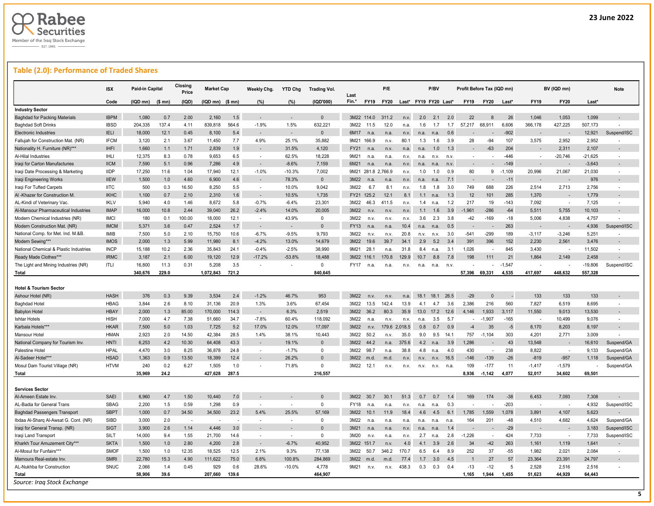

# **Table (2.0): Performance of Traded Shares**

|                                        | <b>ISX</b>  | Paid-in Capital |         | Closing<br>Price | <b>Market Cap</b>         |       | Weekly Chg.              | <b>YTD Chg</b> | <b>Trading Vol.</b> | Last        |                    | P/E            |                       |      | P/BV |      | Profit Before Tax (IQD mn) |             |          |             | BV (IQD mn)              |           | <b>Note</b>              |
|----------------------------------------|-------------|-----------------|---------|------------------|---------------------------|-------|--------------------------|----------------|---------------------|-------------|--------------------|----------------|-----------------------|------|------|------|----------------------------|-------------|----------|-------------|--------------------------|-----------|--------------------------|
|                                        | Code        | (IQD mn)        | $$$ mn) | (IQD)            | $(IQD$ mn $)$ $(S$ mn $)$ |       | (%)                      | (%)            | (IQD'000)           | Fin.*       | <b>FY19</b>        | <b>FY20</b>    | Last* FY19 FY20 Last* |      |      |      | <b>FY19</b>                | <b>FY20</b> | Last*    | <b>FY19</b> | <b>FY20</b>              | Last*     |                          |
| <b>Industry Sector</b>                 |             |                 |         |                  |                           |       |                          |                |                     |             |                    |                |                       |      |      |      |                            |             |          |             |                          |           |                          |
| <b>Baghdad for Packing Materials</b>   | <b>IBPM</b> | 1,080           | 0.7     | 2.00             | 2,160                     | 1.5   | $\sim$                   |                | $\Omega$            |             | 3M22 114.0         | 311.2          | n.v.                  | 2.0  | 2.1  | 2.0  | 22                         |             | 26       | 1,046       | 1,053                    | 1,099     |                          |
| <b>Baghdad Soft Drinks</b>             | <b>IBSD</b> | 204,335         | 137.4   | 4.11             | 839,818                   | 564.6 | $-1.9%$                  | 1.5%           | 632,221             | 3M22        | 11.5               | 12.0           | n.a.                  | 1.6  | 1.7  | 1.7  | 57,217                     | 68,911      | 6,606    | 366,178     | 427,225                  | 507,173   |                          |
| <b>Electronic Industries</b>           | <b>IELI</b> | 18,000          | 12.1    | 0.45             | 8,100                     | 5.4   |                          |                | $\mathbf{0}$        | 6M17        | n.a.               | n.a.           | n.v.                  | n.a. | n.a  | 0.6  |                            |             | $-902$   |             |                          | 12,921    | Suspend/ISC              |
| Fallujah for Construction Mat. (NR)    | <b>IFCM</b> | 3,120           | 2.1     | 3.67             | 11,450                    | 7.7   | 4.9%                     | 25.1%          | 35,882              |             | 9M21 166.9         | n.v.           | 80.1                  | 1.3  | 1.6  | 3.9  | 28                         | $-94$       | 107      | 3,575       | 2,952                    | 2,952     |                          |
| Nationality H. Furniture (NR)***       | <b>IHFI</b> | 1,660           | 1.1     | 1.71             | 2.839                     | 1.9   |                          | 31.5%          | 4.120               | <b>FY21</b> | n.a.               | n.v            | n.a.                  | n.a. | 1.0  | 1.3  |                            | $-63$       | 204      |             | 2.311                    | 2.107     |                          |
| Al-Hilal Industries                    | <b>IHLI</b> | 12,375          | 8.3     | 0.78             | 9,653                     | 6.5   | $\overline{\phantom{a}}$ | 62.5%          | 18,228              | 9M21        | n.a                | n.a.           | n.v.                  | n.a. | n.v. | n.v  | $\sim$                     |             | $-446$   |             | $-20,746$                | $-21,625$ |                          |
| Iraqi for Carton Manufacturies         | <b>IICM</b> | 7,590           | 5.1     | 0.96             | 7,286                     | 4.9   | $\overline{\phantom{a}}$ | $-8.6%$        | 7,159               | 6M21        | n.a.               | n.a            | n.v.                  | n.a. | n.a  | n.v. |                            |             | $-149$   |             |                          | $-3,643$  |                          |
| Iraqi Date Processing & Marketing      | <b>IIDP</b> | 17.250          | 11.6    | 1.04             | 17,940                    | 12.1  | $-1.0%$                  | $-10.3%$       | 7.002               |             | 9M21 281.8 2.766.9 |                | n.v.                  | 1.0  | 1.0  | 0.9  | 80                         | 9           | $-1.109$ | 20.996      | 21.067                   | 21.030    |                          |
| Iraqi Engineering Works                | <b>IIEW</b> | 1,500           | 1.0     | 4.60             | 6,900                     | 4.6   |                          | 78.3%          | $\mathbf{0}$        | 3M22        |                    | n.a            | n.v.                  | n.a. |      | 7.1  |                            |             | $-11$    |             |                          | 976       |                          |
| Iraqi For Tufted Carpets               | <b>IITC</b> | 500             | 0.3     | 16.50            | 8,250                     | 5.5   | $\sim$                   | 10.0%          | 9,042               | 3M22        | 6.7                | 8.1            | n.v.                  | 1.8  | 1.8  | 3.0  | 749                        | 688         | 226      | 2,514       | 2,713                    | 2,756     | $\sim$                   |
| Al -Khazer for Construction M.         | <b>IKHC</b> | 1,100           | 0.7     | 2.10             | 2,310                     | 1.6   | ٠                        | 10.5%          | 1,735               |             | FY21 125.2         | 12.1           | 8.1                   | 1.1  | n.a. | 1.3  | 12                         | 101         | 285      | 1,370       |                          | 1,779     |                          |
| AL-Kindi of Veterinary Vac.            | <b>IKLV</b> | 5.940           | 4.0     | 1.46             | 8.672                     | 5.8   | $-0.7%$                  | $-6.4%$        | 23.301              | 3M22        | 46.3               | 411.5          | n.v.                  | 1.4  | n.a  | 1.2  | 217                        | 19          | $-143$   | 7,092       | $\sim$                   | 7.125     | $\sim$                   |
| Al-Mansour Pharmaceutical Industries   | <b>IMAP</b> | 16,000          | 10.8    | 2.44             | 39,040                    | 26.2  | $-2.4%$                  | 14.0%          | 20,005              | 3M22        | n.v.               | n.v.           | n.v.                  | 1.1  | 1.6  | 3.9  | 1,961                      | $-286$      | $-64$    | 5,511       | 5,755                    | 10,103    |                          |
| Modern Chemical Industries (NR)        | <b>IMCI</b> | 180             | 0.1     | 100.00           | 18,000                    | 12.1  | $\overline{a}$           | 43.9%          | $^{\circ}$          | 3M22        | n.v.               | n.v.           | n.v.                  | 3.6  | 2.3  | 3.8  | $-42$                      | $-169$      | $-18$    | 5,006       | 4,838                    | 4.757     |                          |
| Modern Construction Mat. (NR)          | <b>IMCM</b> | 5,371           | 3.6     | 0.47             | 2,524                     | 1.7   | $\overline{\phantom{a}}$ |                | $\Omega$            | <b>FY13</b> | n.a.               | n.a            | 10.4                  | n.a. |      | 0.5  |                            |             | 263      |             |                          | 4,936     | Suspend/ISC              |
| National Comp. for Met. Ind. M.&B.     | IMIB        | 7,500           | 5.0     | 2.10             | 15,750                    | 10.6  | $-6.7%$                  | $-9.5%$        | 9,793               | 3M22        | n.v.               | n.v.           | 20.8                  | n.v. | n.v. | 3.0  | $-541$                     | $-299$      | 189      | $-3, 117$   | $-3,246$                 | 5,251     |                          |
| Modern Sewing***                       | <b>IMOS</b> | 2,000           | 1.3     | 5.99             | 11,980                    | 8.1   | $-4.2%$                  | 13.0%          | 14,679              | 3M22        | 19.6               | 39.7           | 34.1                  | 2.9  | 5.2  | 3.4  | 391                        | 396         | 152      | 2,230       | 2,561                    | 3,476     |                          |
| National Chemical & Plastic Industries | <b>INCP</b> | 15.188          | 10.2    | 2.36             | 35,843                    | 24.1  | $-0.4%$                  | $-2.5%$        | 38,990              | 9M21        | 28.1               | n.a.           | 31.8                  | 8.4  | n a  | 3.1  | 1.026                      | ÷,          | 845      | 3.430       | ٠.                       | 11.502    |                          |
| Ready Made Clothes***                  | <b>IRMC</b> | 3,187           | 2.1     | 6.00             | 19,120                    | 12.9  | $-17.2%$                 | $-53.8%$       | 18,488              | 3M22        | 116.1              | 170.8          | 129.9                 | 10.7 | 8.8  | 7.8  | 198                        | 111         | 21       | 1,864       | 2,149                    | 2,458     |                          |
| The Light and Mining Industries (NR)   | ITLI        | 16,800          | 11.3    | 0.31             | 5,208                     | 3.5   | $\sim$                   |                | $\mathbf 0$         | <b>FY17</b> | n.a.               | n.a            | n.v.                  | n.a. | n.a. | n.v  |                            |             | $-1,547$ |             |                          | $-19,806$ | Suspend/ISC              |
| Total                                  |             | 340.676         | 229.0   |                  | 1,072,843                 | 721.2 |                          |                | 840.645             |             |                    |                |                       |      |      |      | 57.396                     | 69.331      | 4.535    | 417,697     | 448.632                  | 557,328   |                          |
|                                        |             |                 |         |                  |                           |       |                          |                |                     |             |                    |                |                       |      |      |      |                            |             |          |             |                          |           |                          |
| <b>Hotel &amp; Tourism Sector</b>      |             |                 |         |                  |                           |       |                          |                |                     |             |                    |                |                       |      |      |      |                            |             |          |             |                          |           |                          |
| Ashour Hotel (NR)                      | <b>HASH</b> | 376             | 0.3     | 9.39             | 3,534                     | 2.4   | $-1.2%$                  | 46.7%          | 953                 | 3M22        | n.v                | n.v            | n.a.                  | 18.1 | 181  | 26.5 | $-29$                      | $\Omega$    |          | 133         | 133                      | 133       |                          |
| <b>Baghdad Hotel</b>                   | <b>HBAG</b> | 3,844           | 2.6     | 8.10             | 31,136                    | 20.9  | 1.3%                     | 3.6%           | 67,454              | 3M22        | 13.5               | 142.4          | 13.9                  | 4.1  | 4.7  | 3.6  | 2,386                      | 216         | 560      | 7,827       | 6,519                    | 8,695     |                          |
| <b>Babylon Hotel</b>                   | <b>HBAY</b> | 2,000           | 1.3     | 85.00            | 170,000                   | 114.3 | $\sim$                   | 6.3%           | 2,519               | 3M22        | 36.2               | 80.3           | 35.9                  | 13.0 | 17.2 | 12.6 | 4,146                      | 1,933       | 3,117    | 11,550      | 9,013                    | 13,530    |                          |
| <b>Ishtar Hotels</b>                   | <b>HISH</b> | 7,000           | 4.7     | 7.38             | 51,660                    | 34.7  | $-7.8%$                  | 60.4%          | 118,092             | 3M22        | n.a                | n.v.           | n.v.                  | n.a. | 3.5  | 5.7  | $\sim$                     | $-1,907$    | $-165$   |             | 10,499                   | 9,076     |                          |
| Karbala Hotels***                      | <b>HKAR</b> | 7,500           | 5.0     | 1.03             | 7,725                     | 5.2   | 17.0%                    | 12.0%          | 17,097              | 3M22        | n.v                |                | 179.6 2.018.5         | 0.8  | 0.7  | 0.9  | $-4$                       | 35          | $-5$     | 8,170       | 8,203                    | 8,197     |                          |
| Mansour Hotel                          | <b>HMAN</b> | 2,923           | 2.0     | 14.50            | 42,384                    | 28.5  | 1.4%                     | 38.1%          | 10,443              | 3M22        | 50.2               | n.v.           | 35.0                  | 9.0  | 9.5  | 14.1 | 757                        | $-1,104$    | 303      | 4,201       | 2,771                    | 3,009     |                          |
| National Company for Tourism Inv.      | <b>HNTI</b> | 6,253           | 4.2     | 10.30            | 64,408                    | 43.3  |                          | 19.1%          | $\Omega$            | 3M22        | 44.2               | n.a.           | 375.6                 | 4.2  | n.a. | 3.9  | 1.286                      |             | 43       | 13,548      |                          | 16,610    | Suspend/GA               |
| Palestine Hotel                        | <b>HPAL</b> | 4,470           | 3.0     | 8.25             | 36,878                    | 24.8  | $\blacksquare$           | $-1.7%$        | $\Omega$            | 3M22        | 98.7               | n.a            | 38.8                  | 4.8  | n.a  | 4.0  | 430                        |             | 238      | 8,822       | $\overline{\phantom{a}}$ | 9,133     | Suspend/GA               |
| Al-Sadeer Hotel***                     | <b>HSAD</b> | 1,363           | 0.9     | 13.50            | 18,399                    | 12.4  |                          | 26.2%          | $\Omega$            | 3M22        | m.d.               | m.d            | n.v.                  | n.v. | n.v. | 16.5 | $-146$                     | $-139$      | $-26$    | $-819$      | $-957$                   | 1,118     | Suspend/GA               |
| Mosul Dam Tourist Village (NR)         | <b>HTVM</b> | 240             | 0.2     | 6.27             | 1,505                     | 1.0   |                          | 71.8%          | $\mathsf 0$         | 3M22        | 12.1               | n.v.           | n.v.                  | n.v. | n.v. | n.a  | 109                        | $-177$      | 11       | $-1,417$    | $-1,579$                 |           | Suspend/GA               |
| Total                                  |             | 35.969          | 24.2    |                  | 427,628                   | 287.5 |                          |                | 216.557             |             |                    |                |                       |      |      |      | 8.936                      | $-1.142$    | 4.077    | 52.017      | 34.602                   | 69,501    |                          |
|                                        |             |                 |         |                  |                           |       |                          |                |                     |             |                    |                |                       |      |      |      |                            |             |          |             |                          |           |                          |
| <b>Services Sector</b>                 |             |                 |         |                  |                           |       |                          |                |                     |             |                    |                |                       |      |      |      |                            |             |          |             |                          |           |                          |
| Al-Ameen Estate Inv.                   | SAEI        | 6,960           | 4.7     | 1.50             | 10,440                    | 7.0   |                          |                | $\Omega$            | 3M22        | 30.7               | 30.1           | 51.3                  | 0.7  | 0.7  | 1.4  | 169                        | 174         | $-38$    | 6,453       | 7,093                    | 7,308     |                          |
| AL-Badia for General Trans             | SBAG        | 2,200           | 1.5     | 0.59             | 1,298                     | 0.9   | ÷                        |                | $^{\circ}$          | FY18        | n.a.               | n.a.           | n.v.                  | n.a. | n.a  | 0.3  |                            |             | $-203$   |             |                          | 4,932     | Suspend/ISC              |
| <b>Baghdad Passengers Transport</b>    | <b>SBPT</b> | 1,000           | 0.7     | 34.50            | 34,500                    | 23.2  | 5.4%                     | 25.5%          | 57,169              | 3M22        | 10.1               | 11.9           | 18.4                  | 4.6  | 4.5  | 6.1  | 1,785                      | 1,559       | 1,078    | 3,891       | 4,107                    | 5,623     |                          |
| Ibdaa Al-Sharq Al-Awsat G. Cont. (NR)  | SIBD        | 3,000           | 2.0     |                  |                           |       |                          |                | $\Omega$            | 3M22        | n.a.               | n.a.           | n.a.                  | n.a. | n.a  | n.a  | 164                        | 201         | $-48$    | 4,510       | 4,682                    | 4,624     | Suspend/GA               |
| Iraqi for General Transp. (NR)         | <b>SIGT</b> | 3,900           | 2.6     | 1.14             | 4,446                     | 3.0   |                          |                | $\Omega$            | 3M21        | n.a                | n.a            | n.v.                  | n.a. |      | 1.4  |                            |             | $-29$    |             |                          | 3,183     | Suspend/ISC              |
| Iraqi Land Transport                   | SILT        | 14,000          | 9.4     | 1.55             | 21,700                    | 14.6  | $\sim$                   | $\sim$         | $\Omega$            | 3M20        | n.v.               | n.a.           | n.v.                  | 2.7  | n.a  | 2.8  | $-1,226$                   | ÷.          | 424      | 7,733       |                          | 7,733     | Suspend/ISC              |
| Kharkh Tour Amuzement City***          | <b>SKTA</b> | 1,500           | 1.0     | 2.80             | 4,200                     | 2.8   |                          | $-6.7%$        | 40,952              |             | 3M22 151.7         | n <sub>v</sub> | 4.0                   | 4.1  | 3.9  | 2.6  | 34                         | $-42$       | 263      | 1,161       | 1,119                    | 1,641     |                          |
| Al-Mosul for Funfairs***               | <b>SMOF</b> | 1,500           | 1.0     | 12.35            | 18,525                    | 12.5  | 2.1%                     | 9.3%           | 77,138              | 3M22        | 50.7               | 346.2          | 170.7                 | 6.5  | 6.4  | 8.9  | 252                        | 37          | $-55$    | 1,982       | 2,021                    | 2,084     | $\overline{\phantom{a}}$ |
| Mamoura Real-estate Inv                | <b>SMRI</b> | 22,780          | 15.3    | 4.90             | 111,622                   | 75.0  | 6.8%                     | 100.8%         | 284,869             | 3M22        | m.d.               | m.d.           | 77.4                  | 1.7  | 3.0  | 4.5  |                            | 27          | 57       | 23,364      | 23,391                   | 24,797    |                          |
| AL-Nukhba for Construction             | SNUC        | 2,066           | 1.4     | 0.45             | 929                       | 0.6   | 28.6%                    | $-10.0%$       | 4,778               | 9M21        | n.v.               | n.v.           | 438.3                 | 0.3  | 0.3  | 0.4  | $-13$                      | $-12$       | 5        | 2,528       | 2,516                    | 2,516     |                          |
| Total                                  |             | 58,906          | 39.6    |                  | 207,660                   | 139.6 |                          |                | 464,907             |             |                    |                |                       |      |      |      | 1,165                      | 1,944       | 1,455    | 51,623      | 44,929                   | 64,443    |                          |
| Source: Irag Stock Exchange            |             |                 |         |                  |                           |       |                          |                |                     |             |                    |                |                       |      |      |      |                            |             |          |             |                          |           |                          |
|                                        |             |                 |         |                  |                           |       |                          |                |                     |             |                    |                |                       |      |      |      |                            |             |          |             |                          |           |                          |

**5**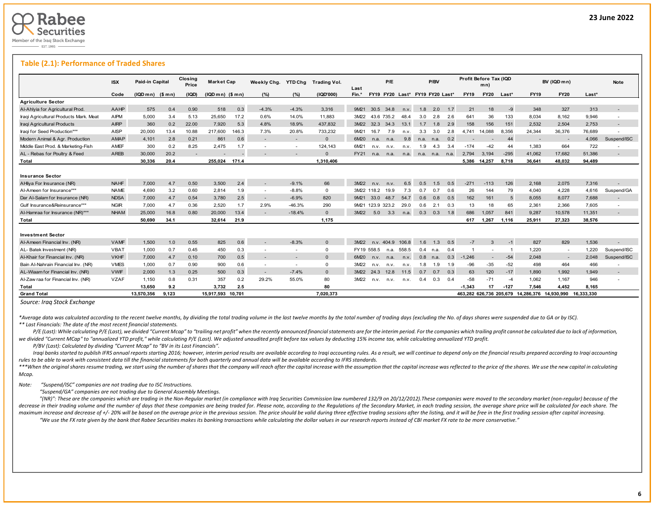

#### **Table (2.1): Performance of Traded Shares**

|                                        | <b>ISX</b>  | Paid-in Capital |           | Closing<br>Price | <b>Market Cap</b> |       | Weekly Chg.              | <b>YTD Cha</b>           | Trading Vol. | Last  |                  | P/E        |            |                                 | P/BV           |     | Profit Before Tax (IQD | mn)                      |        |                                                          | BV (IQD mn)              |        | <b>Note</b>              |
|----------------------------------------|-------------|-----------------|-----------|------------------|-------------------|-------|--------------------------|--------------------------|--------------|-------|------------------|------------|------------|---------------------------------|----------------|-----|------------------------|--------------------------|--------|----------------------------------------------------------|--------------------------|--------|--------------------------|
|                                        | Code        | (IQDm)          | ( \$ m n) | (IQD)            | $(IQDmn)$ $(Smn)$ |       | (%)                      | (%)                      | (1QD'000)    | Fin.* |                  |            |            | FY19 FY20 Last* FY19 FY20 Last* |                |     | <b>FY19</b>            | <b>FY20</b>              | Last*  | <b>FY19</b>                                              | <b>FY20</b>              | Last*  |                          |
| <b>Agriculture Sector</b>              |             |                 |           |                  |                   |       |                          |                          |              |       |                  |            |            |                                 |                |     |                        |                          |        |                                                          |                          |        |                          |
| Al-Ahlyia for Agricultural Prod.       | AAHP        | 575             | 0.4       | 0.90             | 518               | 0.3   | $-4.3%$                  | $-4.3%$                  | 3.316        | 9M21  | 30.5             | 34.8       | n.v.       | 1.8                             | 2.0            | 1.7 | 21                     | 18                       | -9     | 348                                                      | 327                      | 313    |                          |
| Iraqi Agricultural Products Mark. Meat | <b>AIPM</b> | 5.000           | 3.4       | 5.13             | 25.650            | 17.2  | 0.6%                     | 14.0%                    | 11.883       | 3M22  |                  | 43.6 735.2 | 48.4       | 3.0                             | 2.8            | 2.6 | 641                    | 36                       | 133    | 8.034                                                    | 8,162                    | 9.946  | $\overline{\phantom{a}}$ |
| Iraqi Agricultural Products            | <b>AIRP</b> | 360             | 0.2       | 22.00            | 7.920             | 5.3   | 4.8%                     | 18.9%                    | 437.832      | 3M22  | 32.3             | 34.3       | 13.1       | 1.7                             | 1.8            | 2.9 | 158                    | 156                      | 151    | 2,532                                                    | 2.504                    | 2.753  | $\overline{\phantom{a}}$ |
| Iraqi for Seed Production***           | AISP        | 20,000          | 13.4      | 10.88            | 217,600           | 146.3 | 7.3%                     | 20.8%                    | 733.232      | 9M21  | 16.7             | 7.9        | n.v.       | 3.3                             | 3.0            | 2.8 | 4.741                  | 14.088                   | 8.356  | 24.344                                                   | 36.376                   | 76.689 |                          |
| Modern Animal & Agr. Production        | AMAP        | 4.101           | 2.8       | 0.21             | 861               | 0.6   |                          |                          | $\Omega$     | 6M20  | n.a.             | n.a.       | 9.8        | n.a. n.a.                       |                | 0.2 |                        |                          | 44     |                                                          | $\overline{\phantom{a}}$ | 4.066  | Suspend/ISC              |
| Middle East Prod. & Marketing-Fish     | AMEF        | 300             | 0.2       | 8.25             | 2.475             | 1.7   | $\overline{\phantom{a}}$ | $\overline{\phantom{a}}$ | 124.143      | 6M21  | n.v.             | n.v.       | n.v.       | 1.9                             | 4.3            | 3.4 | $-174$                 | $-42$                    | 44     | 1,383                                                    | 664                      | 722    |                          |
| AL - Rebas for Poultry & Feed          | <b>AREB</b> | 30,000          | 20.2      |                  |                   |       |                          |                          | $\Omega$     | FY21  |                  | n.a. n.a.  | n.a.       | n.a. n.a. n.a.                  |                |     | 2.794                  | 3.194                    | $-295$ | 41.062                                                   | 17.682                   | 51.386 |                          |
| Total                                  |             | 30,336          | 20.4      |                  | 255,024           | 171.4 |                          |                          | 1,310,406    |       |                  |            |            |                                 |                |     | 5,386                  | 14,257                   | 8,718  | 36,641                                                   | 48,032                   | 94,489 |                          |
| <b>Insurance Sector</b>                |             |                 |           |                  |                   |       |                          |                          |              |       |                  |            |            |                                 |                |     |                        |                          |        |                                                          |                          |        |                          |
| AHliya For Insurance (NR)              | <b>NAHF</b> | 7,000           | 4.7       | 0.50             | 3,500             | 2.4   | $\overline{\phantom{a}}$ | $-9.1%$                  | 66           | 3M22  | n.v.             | n.v.       | 6.5        | 0.5                             | .5             | 0.5 | $-271$                 | $-113$                   | 126    | 2,168                                                    | 2,075                    | 7,316  |                          |
| Al-Ameen for Insurance***              | <b>NAME</b> | 4.690           | 3.2       | 0.60             | 2.814             | 1.9   | $\overline{\phantom{a}}$ | $-8.8%$                  | $\mathbf 0$  |       | 3M22 118.2       | 19.9       | 7.3        | 0.7                             | 0.7            | 0.6 | 26                     | 144                      | 79     | 4.040                                                    | 4.228                    | 4.616  | Suspend/GA               |
| Dar Al-Salam for Insurance (NR)        | <b>NDSA</b> | 7.000           | 4.7       | 0.54             | 3.780             | 2.5   | $\overline{\phantom{a}}$ | $-6.9%$                  | 820          | 9M21  | 33.0             | 48.7       | 54.7       | 0.6                             | 0.8            | 0.5 | 162                    | 161                      | 5      | 8,055                                                    | 8.077                    | 7.688  |                          |
| Gulf Insurance&Reinsurance***          | <b>NGIR</b> | 7.000           | 4.7       | 0.36             | 2.520             | 1.7   | 2.9%                     | $-46.3%$                 | 290          |       | 9M21 123.9 323.2 |            | 29.0       | 0.6                             | 2.1            | 0.3 | 13                     | 18                       | 65     | 2.361                                                    | 2,366                    | 7.605  |                          |
| Al-Hamraa for Insurance (NR)***        | <b>NHAM</b> | 25,000          | 16.8      | 0.80             | 20,000            | 13.4  |                          | $-18.4%$                 | $\Omega$     | 3M22  | 5.0              | 3.3        | n.a.       | 0.3                             | 0.3            | 1.8 | 686                    | 1.057                    | 841    | 9,287                                                    | 10,578                   | 11,351 |                          |
| Total                                  |             | 50.690          | 34.1      |                  | 32,614            | 21.9  |                          |                          | 1.175        |       |                  |            |            |                                 |                |     | 617                    | 1,267                    | 1.116  | 25,911                                                   | 27,323                   | 38.576 |                          |
| <b>Investment Sector</b>               |             |                 |           |                  |                   |       |                          |                          |              |       |                  |            |            |                                 |                |     |                        |                          |        |                                                          |                          |        |                          |
| Al-Ameen Financial Inv. (NR)           | <b>VAMF</b> | 1.500           | 1.0       | 0.55             | 825               | 0.6   | $\overline{\phantom{a}}$ | $-8.3%$                  | $\Omega$     | 3M22  |                  | n.v. 404.9 | 106.8      | 1.6                             | $\overline{3}$ | 0.5 | $-7$                   | 3                        | $-1$   | 827                                                      | 829                      | 1,536  |                          |
| AL- Batek Investment (NR)              | <b>VBAT</b> | 1,000           | 0.7       | 0.45             | 450               | 0.3   | $\overline{\phantom{a}}$ | $\overline{\phantom{a}}$ | $\Omega$     |       | FY19 558.5       |            | n.a. 558.5 | 0.4                             | n.a.           | 0.4 |                        | $\overline{\phantom{a}}$ |        | 1.220                                                    | $\sim$                   | 1.220  | Suspend/ISC              |
| Al-Khair for Financial Inv. (NR)       | <b>VKHF</b> | 7,000           | 4.7       | 0.10             | 700               | 0.5   | $\overline{\phantom{a}}$ | $\overline{\phantom{a}}$ | $\Omega$     | 6M20  | n.v.             | n.a.       | n.v.       | 0.8                             | n.a.           | 0.3 | $-1.246$               | $\overline{\phantom{a}}$ | $-54$  | 2,048                                                    | $\sim$                   | 2.048  | Suspend/ISC              |
| Bain Al-Nahrain Financial Inv. (NR)    | <b>VMES</b> | 1.000           | 0.7       | 0.90             | 900               | 0.6   | $\overline{\phantom{a}}$ | $\overline{\phantom{a}}$ | $\Omega$     | 3M22  | n.v.             | n.v.       | n.v.       | 1.8                             | .9             | 1.9 | $-96$                  | $-35$                    | $-52$  | 498                                                      | 464                      | 466    |                          |
| AL-Wiaam for Financial Inv. (NR)       | <b>VWIF</b> | 2,000           | 1.3       | 0.25             | 500               | 0.3   | $\overline{\phantom{a}}$ | $-7.4%$                  | $\Omega$     | 3M22  | 24.3             | 12.8       | 11.5       | 0.7                             | 0.7            | 0.3 | 63                     | 120                      | $-17$  | 1.890                                                    | 1.992                    | 1.949  |                          |
| Al-Zaw raa for Financial Inv. (NR)     | <b>VZAF</b> | 1.150           | 0.8       | 0.31             | 357               | 0.2   | 29.2%                    | 55.0%                    | 80           | 3M22  | n.v.             | n.v.       | n.v.       | 0.4                             | 0.3            | 0.4 | $-58$                  | $-71$                    | $-4$   | 1,062                                                    | 1,167                    | 946    |                          |
| Total                                  |             | 13,650          | 9.2       |                  | 3,732             | 2.5   |                          |                          | 80           |       |                  |            |            |                                 |                |     | $-1.343$               | 17                       | $-127$ | 7,546                                                    | 4,452                    | 8.165  |                          |
| <b>Grand Total</b>                     |             | 13.570.356      | 9.123     |                  | 15.917.593 10.701 |       |                          |                          | 7.020.373    |       |                  |            |            |                                 |                |     |                        |                          |        | 463.282 626.736 205.679 14.286.376 14.930.990 16.333.330 |                          |        |                          |

*Source: Iraq Stock Exchange*

\*Average data was calculated according to the recent twelve months, by dividing the total trading volume in the last twelve months by the total number of trading days (excluding the No. of days shares were suspended due to *\*\* Last Financials: The date of the most recent financial statements.* 

P/E (Last): While calculating P/E (Last), we divided "Current Mcap" to "trailing net profit" when the recently announced financial statements are for the interim period. For the companies which trailing profit cannot be ca we divided "Current MCap" to "annualized YTD profit," while calculating P/E (Last). We adjusted unaudited profit before tax values by deducting 15% income tax, while calculating annualized YTD profit.

 *P/BV (Last): Calculated by dividing "Current Mcap" to "BV in its Last Financials".*

Iraqi banks started to publish IFRS annual reports starting 2016; however, interim period results are available according to Iraqi accounting rules. As a result, we will continue to depend only on the financial results pre *rules to be able to work with consistent data till the financial statements for both quarterly and annual data will be available according to IFRS standards.* 

\*\*\*When the original shares resume trading, we start using the number of shares that the company will reach after the capital increase with the assumption that the capital increase was reflected to the price of the shares. *Mcap.*

*Note: "Suspend/ISC" companies are not trading due to ISC Instructions.*

 *"Suspend/GA" companies are not trading due to General Assembly Meetings.*

"(NR)": These are the companies which are trading in the Non-Regular market (in compliance with Iraq Securities Commission law numbered 132/9 on 20/12/2012). These companies were moved to the secondary market (non-regular) decrease in their trading volume and the number of days that these companies are being traded for. Please note, according to the Regulations of the Secondary Market, in each trading session, the average share price will be maximum increase and decrease of +/-20% will be based on the average price in the previous session. The price should be valid during three effective trading sessions after the listing, and it will be free in the first trad "We use the FX rate given by the bank that Rabee Securities makes its banking transactions while calculating the dollar values in our research reports instead of CBI market FX rate to be more conservative."

L